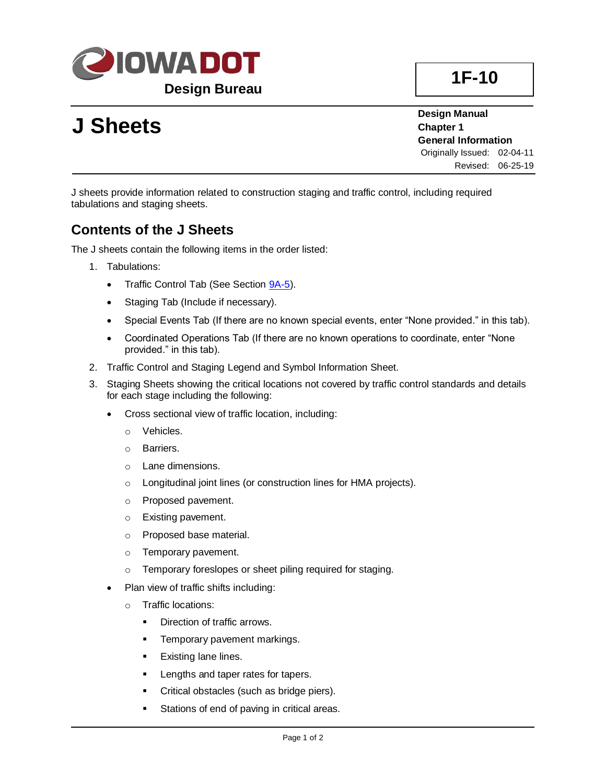

# **J Sheets**

**Design Manual Chapter 1 General Information** Originally Issued: 02-04-11 Revised: 06-25-19

J sheets provide information related to construction staging and traffic control, including required tabulations and staging sheets.

### **Contents of the J Sheets**

The J sheets contain the following items in the order listed:

- 1. Tabulations:
	- Traffic Control Tab (See Section **9A-5**).
	- Staging Tab (Include if necessary).
	- Special Events Tab (If there are no known special events, enter "None provided." in this tab).
	- Coordinated Operations Tab (If there are no known operations to coordinate, enter "None provided." in this tab).
- 2. Traffic Control and Staging Legend and Symbol Information Sheet.
- 3. Staging Sheets showing the critical locations not covered by traffic control standards and details for each stage including the following:
	- Cross sectional view of traffic location, including:
		- o Vehicles.
		- o Barriers.
		- o Lane dimensions.
		- o Longitudinal joint lines (or construction lines for HMA projects).
		- o Proposed pavement.
		- o Existing pavement.
		- o Proposed base material.
		- o Temporary pavement.
		- o Temporary foreslopes or sheet piling required for staging.
	- Plan view of traffic shifts including:
		- o Traffic locations:
			- Direction of traffic arrows.
			- **•** Temporary pavement markings.
			- Existing lane lines.
			- **EXEC** Lengths and taper rates for tapers.
			- **•** Critical obstacles (such as bridge piers).
			- Stations of end of paving in critical areas.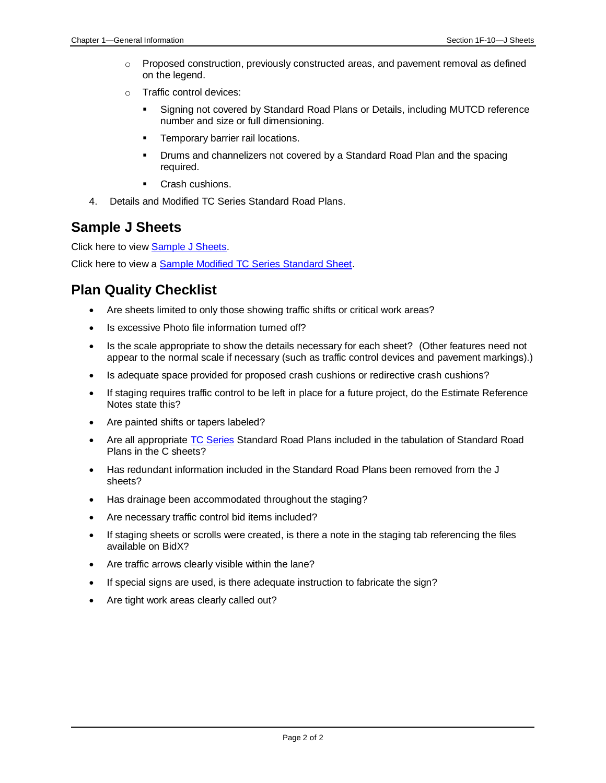- $\circ$  Proposed construction, previously constructed areas, and pavement removal as defined on the legend.
- o Traffic control devices:
	- Signing not covered by Standard Road Plans or Details, including MUTCD reference number and size or full dimensioning.
	- **•** Temporary barrier rail locations.
	- **•** Drums and channelizers not covered by a Standard Road Plan and the spacing required.
	- Crash cushions.
- 4. Details and Modified TC Series Standard Road Plans.

#### **Sample J Sheets**

Click here to view [Sample J Sheets.](01f-10/SampleJSheets.pdf)

Click here to view a **Sample Modified TC Series Standard Sheet**.

### **Plan Quality Checklist**

- Are sheets limited to only those showing traffic shifts or critical work areas?
- Is excessive Photo file information turned off?
- Is the scale appropriate to show the details necessary for each sheet? (Other features need not appear to the normal scale if necessary (such as traffic control devices and pavement markings).)
- Is adequate space provided for proposed crash cushions or redirective crash cushions?
- If staging requires traffic control to be left in place for a future project, do the Estimate Reference Notes state this?
- Are painted shifts or tapers labeled?
- Are all appropriate [TC Series](../stdplne_tc) Standard Road Plans included in the tabulation of Standard Road Plans in the C sheets?
- Has redundant information included in the Standard Road Plans been removed from the J sheets?
- Has drainage been accommodated throughout the staging?
- Are necessary traffic control bid items included?
- If staging sheets or scrolls were created, is there a note in the staging tab referencing the files available on BidX?
- Are traffic arrows clearly visible within the lane?
- If special signs are used, is there adequate instruction to fabricate the sign?
- Are tight work areas clearly called out?